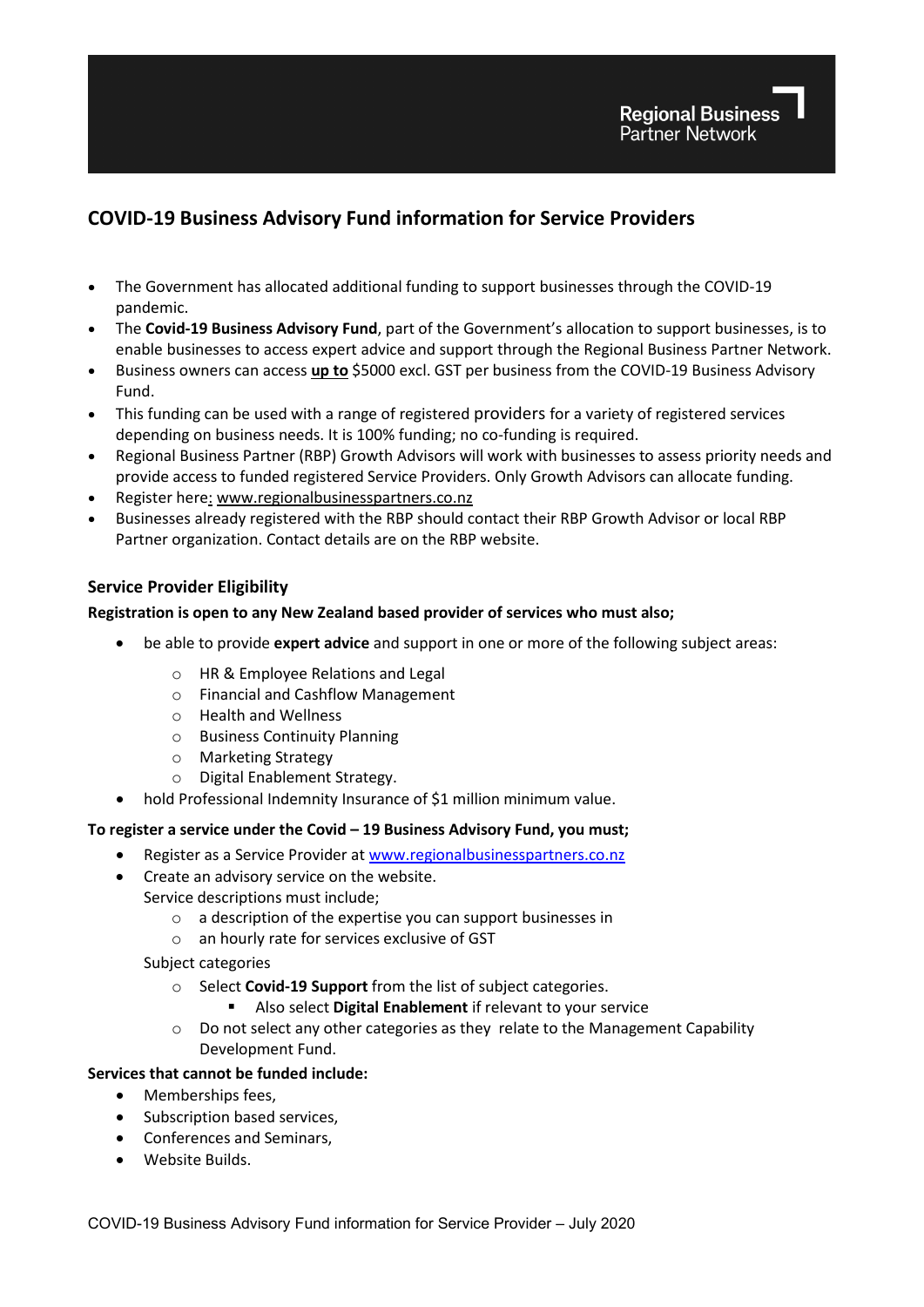# **COVID-19 Business Advisory Fund information for Service Providers**

- The Government has allocated additional funding to support businesses through the COVID-19 pandemic.
- The **Covid-19 Business Advisory Fund**, part of the Government's allocation to support businesses, is to enable businesses to access expert advice and support through the Regional Business Partner Network.
- Business owners can access **up to** \$5000 excl. GST per business from the COVID-19 Business Advisory Fund.
- This funding can be used with a range of registered providers for a variety of registered services depending on business needs. It is 100% funding; no co-funding is required.
- Regional Business Partner (RBP) Growth Advisors will work with businesses to assess priority needs and provide access to funded registered Service Providers. Only Growth Advisors can allocate funding.
- Register here: [www.regionalbusinesspartners.co.nz](http://www.regionalbusinesspartners.co.nz/)
- Businesses already registered with the RBP should contact their RBP Growth Advisor or local RBP Partner organization. Contact details are on the RBP website.

# **Service Provider Eligibility**

# **Registration is open to any New Zealand based provider of services who must also;**

- be able to provide **expert advice** and support in one or more of the following subject areas:
	- o HR & Employee Relations and Legal
	- o Financial and Cashflow Management
	- o Health and Wellness
	- o Business Continuity Planning
	- o Marketing Strategy
	- o Digital Enablement Strategy.
- hold Professional Indemnity Insurance of \$1 million minimum value.

### **To register a service under the Covid – 19 Business Advisory Fund, you must;**

- Register as a Service Provider a[t www.regionalbusinesspartners.co.nz](http://www.regionalbusinesspartners.co.nz/)
- Create an advisory service on the website.
	- Service descriptions must include;
		- o a description of the expertise you can support businesses in
		- o an hourly rate for services exclusive of GST

# Subject categories

- o Select **Covid-19 Support** from the list of subject categories.
	- Also select **Digital Enablement** if relevant to your service
- $\circ$  Do not select any other categories as they relate to the Management Capability Development Fund.

# **Services that cannot be funded include:**

- Memberships fees,
- Subscription based services,
- Conferences and Seminars,
- Website Builds.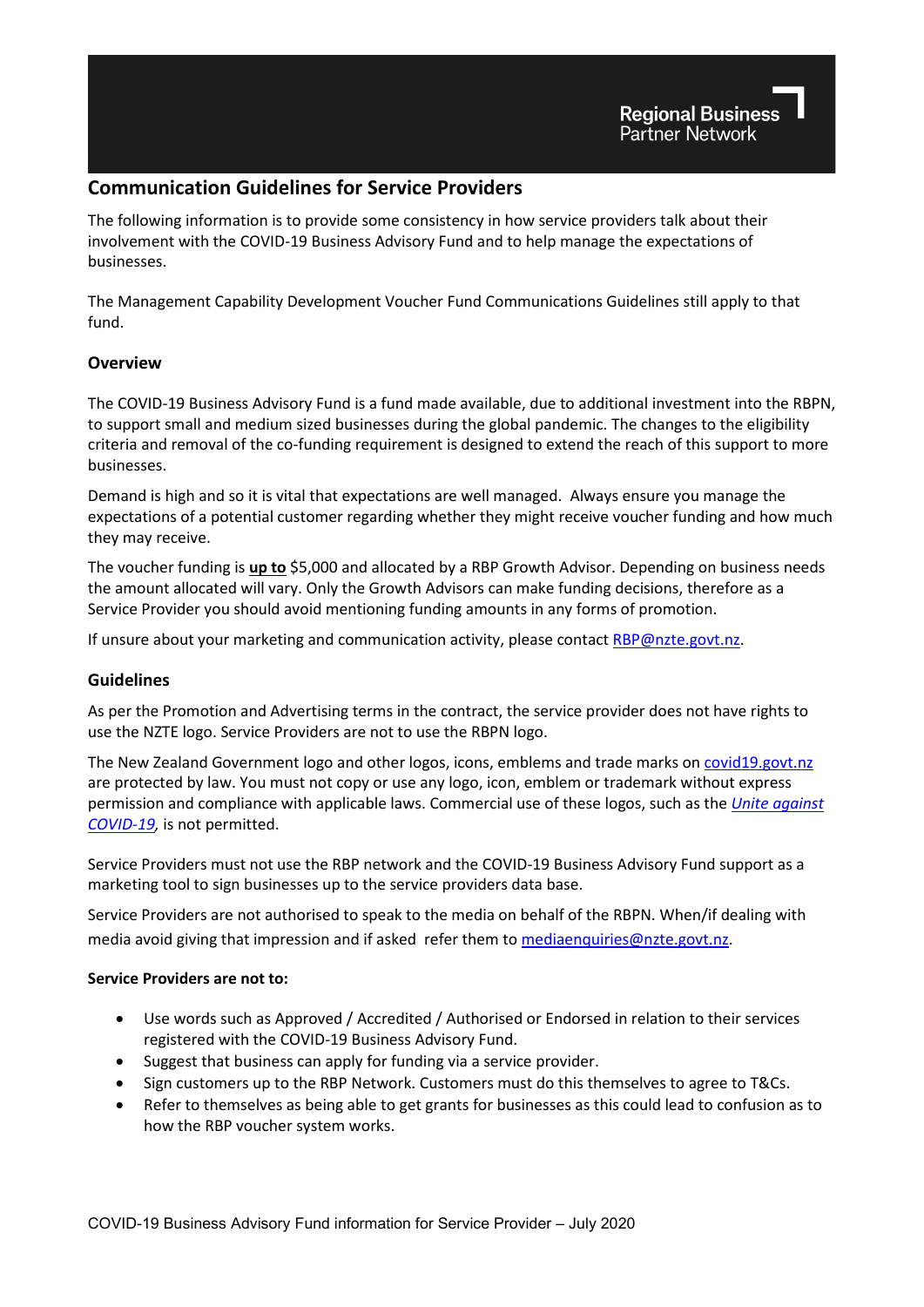# **Communication Guidelines for Service Providers**

The following information is to provide some consistency in how service providers talk about their involvement with the COVID-19 Business Advisory Fund and to help manage the expectations of businesses.

The Management Capability Development Voucher Fund Communications Guidelines still apply to that fund.

# **Overview**

The COVID-19 Business Advisory Fund is a fund made available, due to additional investment into the RBPN, to support small and medium sized businesses during the global pandemic. The changes to the eligibility criteria and removal of the co-funding requirement is designed to extend the reach of this support to more businesses.

Demand is high and so it is vital that expectations are well managed. Always ensure you manage the expectations of a potential customer regarding whether they might receive voucher funding and how much they may receive.

The voucher funding is **up to** \$5,000 and allocated by a RBP Growth Advisor. Depending on business needs the amount allocated will vary. Only the Growth Advisors can make funding decisions, therefore as a Service Provider you should avoid mentioning funding amounts in any forms of promotion.

If unsure about your marketing and communication activity, please contact [RBP@nzte.govt.nz.](mailto:RBP@nzte.govt.nz)

# **Guidelines**

As per the Promotion and Advertising terms in the contract, the service provider does not have rights to use the NZTE logo. Service Providers are not to use the RBPN logo.

The New Zealand Government logo and other logos, icons, emblems and trade marks on [covid19.govt.nz](https://covid19.govt.nz/) are protected by law. You must not copy or use any logo, icon, emblem or trademark without express permission and compliance with applicable laws. Commercial use of these logos, such as the *[Unite against](https://covid19.govt.nz/)  [COVID-19,](https://covid19.govt.nz/)* is not permitted.

Service Providers must not use the RBP network and the COVID-19 Business Advisory Fund support as a marketing tool to sign businesses up to the service providers data base.

Service Providers are not authorised to speak to the media on behalf of the RBPN. When/if dealing with media avoid giving that impression and if asked refer them to [mediaenquiries@nzte.govt.nz.](mailto:mediaenquiries@nzte.govt.nz)

### **Service Providers are not to:**

- Use words such as Approved / Accredited / Authorised or Endorsed in relation to their services registered with the COVID-19 Business Advisory Fund.
- Suggest that business can apply for funding via a service provider.
- Sign customers up to the RBP Network. Customers must do this themselves to agree to T&Cs.
- Refer to themselves as being able to get grants for businesses as this could lead to confusion as to how the RBP voucher system works.